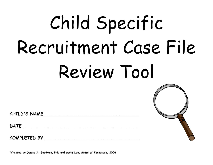# Child Specific Recruitment Case File Review Tool



**CHILD'S NAME\_\_\_\_\_\_\_\_\_\_\_\_\_\_\_\_\_\_\_\_\_\_\_\_\_\_\_ \_\_\_\_\_\_\_** 

**COMPLETED BY \_\_\_\_\_\_\_\_\_\_\_\_\_\_\_\_\_\_\_\_\_\_\_\_\_\_\_\_\_\_\_\_\_\_\_** 

**\*Created by Denise A. Goodman, PhD and Scott Lee, State of Tennessee, 2006**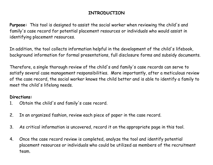#### **INTRODUCTION**

**Purpose:** This tool is designed to assist the social worker when reviewing the child's and family's case record for potential placement resources or individuals who would assist in identifying placement resources.

In addition, the tool collects information helpful in the development of the child's lifebook, background information for formal presentations, full disclosure forms and subsidy documents.

Therefore, a single thorough review of the child's and family's case records can serve to satisfy several case management responsibilities. More importantly, after a meticulous review of the case record, the social worker knows the child better and is able to identify a family to meet the child's lifelong needs.

#### **Directions:**

- 1. Obtain the child's and family's case record.
- 2. In an organized fashion, review each piece of paper in the case record.
- 3. As critical information is uncovered, record it on the appropriate page in this tool.
- 4. Once the case record review is completed, analyze the tool and identify potential placement resources or individuals who could be utilized as members of the recruitment team.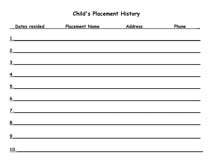# **Child's Placement History**

|     | Dates resided Placement Name Address                       | Phone ____ |
|-----|------------------------------------------------------------|------------|
|     | $1_{\cdot}$                                                |            |
|     | 2.                                                         |            |
|     | 3.                                                         |            |
|     | $\overline{4}$ .                                           |            |
|     | 5.                                                         |            |
|     | 6.                                                         |            |
|     | $\frac{7}{2}$                                              |            |
| 8.  |                                                            |            |
| 9.  | <u> 1989 - Johann John Stone, market de film (f. 1989)</u> |            |
| 10. |                                                            |            |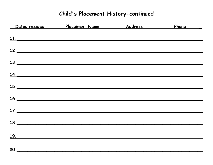# Child's Placement History-continued

| Dates resided Theory | <u>Placement Name</u> | Address | Phone _____ |
|----------------------|-----------------------|---------|-------------|
|                      | 11.                   |         |             |
|                      | $\frac{12.}{12.}$     |         |             |
|                      | 13.                   |         |             |
| <u>14.</u>           |                       |         |             |
|                      | 15.                   |         |             |
| 16.                  |                       |         |             |
| $\frac{17}{17}$      |                       |         |             |
| <u>18.</u>           |                       |         |             |
| <u>19.</u>           |                       |         |             |
| 20.                  |                       |         |             |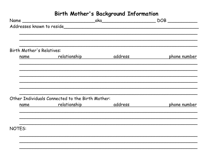# Birth Mother's Background Information

| Birth Mother's Relatives: |                                                  |                                        |
|---------------------------|--------------------------------------------------|----------------------------------------|
|                           |                                                  | name relationship address phone number |
|                           |                                                  |                                        |
|                           |                                                  |                                        |
|                           |                                                  |                                        |
|                           | Other Individuals Connected to the Birth Mother: |                                        |
|                           |                                                  | name relationship address phone number |
|                           |                                                  |                                        |
| <b>NOTES:</b>             |                                                  |                                        |
|                           |                                                  |                                        |
|                           |                                                  |                                        |
|                           |                                                  |                                        |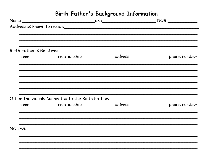## Birth Father's Background Information

|                           |                                                  | $\begin{picture}(180,10) \put(0,0){\line(1,0){10}} \put(15,0){\line(1,0){10}} \put(15,0){\line(1,0){10}} \put(15,0){\line(1,0){10}} \put(15,0){\line(1,0){10}} \put(15,0){\line(1,0){10}} \put(15,0){\line(1,0){10}} \put(15,0){\line(1,0){10}} \put(15,0){\line(1,0){10}} \put(15,0){\line(1,0){10}} \put(15,0){\line(1,0){10}} \put(15,0){\line($ |
|---------------------------|--------------------------------------------------|-----------------------------------------------------------------------------------------------------------------------------------------------------------------------------------------------------------------------------------------------------------------------------------------------------------------------------------------------------|
|                           | Addresses known to reside                        |                                                                                                                                                                                                                                                                                                                                                     |
|                           |                                                  |                                                                                                                                                                                                                                                                                                                                                     |
| Birth Father's Relatives: |                                                  |                                                                                                                                                                                                                                                                                                                                                     |
|                           |                                                  | name relationship address phone number                                                                                                                                                                                                                                                                                                              |
|                           |                                                  |                                                                                                                                                                                                                                                                                                                                                     |
|                           |                                                  |                                                                                                                                                                                                                                                                                                                                                     |
|                           |                                                  |                                                                                                                                                                                                                                                                                                                                                     |
|                           |                                                  |                                                                                                                                                                                                                                                                                                                                                     |
|                           | Other Individuals Connected to the Birth Father: |                                                                                                                                                                                                                                                                                                                                                     |
|                           |                                                  | name relationship address phone number                                                                                                                                                                                                                                                                                                              |
|                           |                                                  |                                                                                                                                                                                                                                                                                                                                                     |
| <b>NOTES:</b>             |                                                  |                                                                                                                                                                                                                                                                                                                                                     |
|                           |                                                  |                                                                                                                                                                                                                                                                                                                                                     |
|                           |                                                  |                                                                                                                                                                                                                                                                                                                                                     |
|                           |                                                  |                                                                                                                                                                                                                                                                                                                                                     |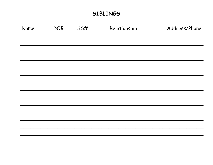### **SIBLINGS**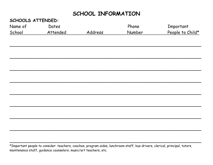## SCHOOL INFORMATION

CAUOOL C ATTENNEN.

| Name of | Dates    |         | Phone  | Important        |
|---------|----------|---------|--------|------------------|
| School  | Attended | Address | Number | People to Child* |
|         |          |         |        |                  |
|         |          |         |        |                  |
|         |          |         |        |                  |
|         |          |         |        |                  |
|         |          |         |        |                  |
|         |          |         |        |                  |
|         |          |         |        |                  |
|         |          |         |        |                  |
|         |          |         |        |                  |
|         |          |         |        |                  |
|         |          |         |        |                  |
|         |          |         |        |                  |
|         |          |         |        |                  |
|         |          |         |        |                  |
|         |          |         |        |                  |
|         |          |         |        |                  |
|         |          |         |        |                  |

\*Important people to consider: teachers, coaches, program aides, lunchroom staff, bus drivers, clerical, principal, tutors, maintenance staff, guidance counselors, music/art teachers, etc.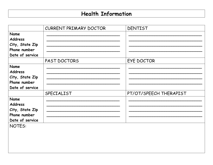# **Health Information**

|                 | CURRENT PRIMARY DOCTOR | DENTIST                |
|-----------------|------------------------|------------------------|
| <b>Name</b>     |                        |                        |
| <b>Address</b>  |                        |                        |
| City, State Zip |                        |                        |
| Phone number    |                        |                        |
| Date of service |                        |                        |
|                 | PAST DOCTORS           | EYE DOCTOR             |
| Name            |                        |                        |
| <b>Address</b>  |                        |                        |
| City, State Zip |                        |                        |
| Phone number    |                        |                        |
| Date of service |                        |                        |
|                 | SPECIALIST             | PT/OT/SPEECH THERAPIST |
| Name            |                        |                        |
| <b>Address</b>  |                        |                        |
| City, State Zip |                        |                        |
| Phone number    |                        |                        |
| Date of service |                        |                        |
| NOTES:          |                        |                        |
|                 |                        |                        |
|                 |                        |                        |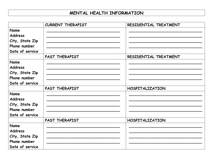#### MENTAL HEALTH INFORMATION

|                                                                              | <b>CURRENT THERAPIST</b> | RESIDENTIAL TREATMENT  |
|------------------------------------------------------------------------------|--------------------------|------------------------|
| Name<br><b>Address</b>                                                       |                          |                        |
| City, State Zip<br>Phone number                                              |                          |                        |
| Date of service                                                              |                          |                        |
|                                                                              | PAST THERAPIST           | RESIDENTIAL TREATMENT  |
| Name<br><b>Address</b><br>City, State Zip<br>Phone number                    |                          |                        |
| Date of service                                                              |                          |                        |
| Name<br><b>Address</b><br>City, State Zip<br>Phone number<br>Date of service | PAST THERAPIST           | <b>HOSPITALIZATION</b> |
|                                                                              | PAST THERAPIST           | <b>HOSPITALIZATION</b> |
| Name<br><b>Address</b><br>City, State Zip<br>Phone number<br>Date of service |                          |                        |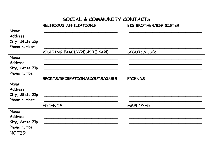|                 | SOCIAL & COMMUNITY CONTACTS    |                               |
|-----------------|--------------------------------|-------------------------------|
|                 | RELIGIOUS AFFILIATIONS         | <b>BIG BROTHER/BIG SISTER</b> |
| Name            |                                |                               |
| <b>Address</b>  |                                |                               |
| City, State Zip |                                |                               |
| Phone number    |                                |                               |
|                 | VISITING FAMILY/RESPITE CARE   | SCOUTS/CLUBS                  |
| Name            |                                |                               |
| <b>Address</b>  |                                |                               |
| City, State Zip |                                |                               |
| Phone number    |                                |                               |
|                 | SPORTS/RECREATION/SCOUTS/CLUBS | <b>FRIENDS</b>                |
| Name            |                                |                               |
| <b>Address</b>  |                                |                               |
| City, State Zip |                                |                               |
| Phone number    |                                |                               |
|                 | <b>FRIENDS</b>                 | <b>EMPLOYER</b>               |
| Name            |                                |                               |
| <b>Address</b>  |                                |                               |
| City, State Zip |                                |                               |
| Phone number    |                                |                               |
| <b>NOTES:</b>   |                                |                               |
|                 |                                |                               |
|                 |                                |                               |
|                 |                                |                               |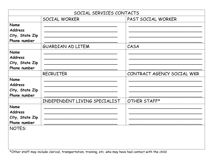|                 | SOCIAL SERVICES CONTACTS      |                            |
|-----------------|-------------------------------|----------------------------|
|                 | SOCIAL WORKER                 | PAST SOCIAL WORKER         |
| Name            |                               |                            |
| <b>Address</b>  |                               |                            |
| City, State Zip |                               |                            |
| Phone number    |                               |                            |
|                 | GUARDIAN AD LITEM             | CASA                       |
| <b>Name</b>     |                               |                            |
| <b>Address</b>  |                               |                            |
| City, State Zip |                               |                            |
| Phone number    |                               |                            |
|                 | <b>RECRUITER</b>              | CONTRACT AGENCY SOCIAL WKR |
| Name            |                               |                            |
| <b>Address</b>  |                               |                            |
| City, State Zip |                               |                            |
| Phone number    |                               |                            |
|                 | INDEPENDENT LIVING SPECIALIST | OTHER STAFF*               |
| <b>Name</b>     |                               |                            |
| <b>Address</b>  |                               |                            |
| City, State Zip |                               |                            |
| Phone number    |                               |                            |
| <b>NOTES:</b>   |                               |                            |
|                 |                               |                            |
|                 |                               |                            |